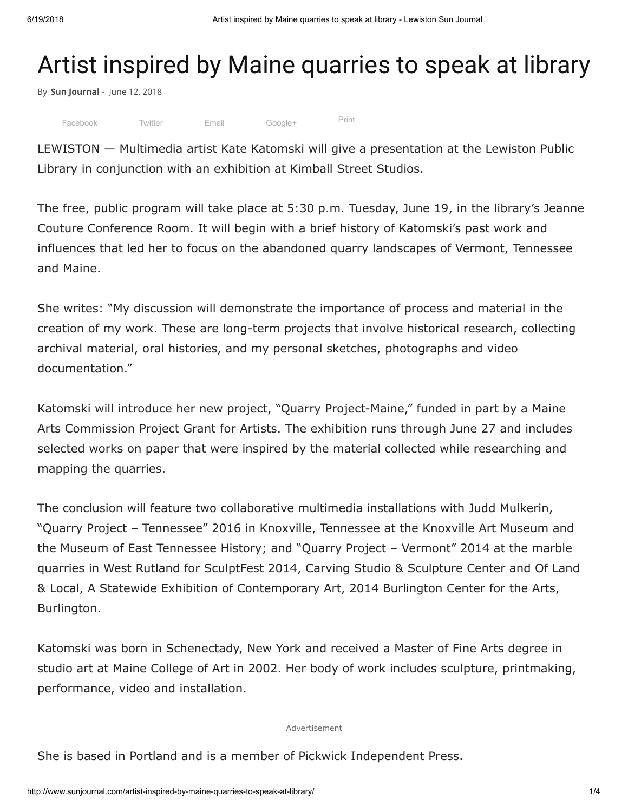## Artist inspired by Maine quarries to speak at library

By **Sun Journal** - June 12, 2018

| Facebook | Twitter | Email | Google+ | Print |
|----------|---------|-------|---------|-------|
|          |         |       |         |       |

LEWISTON — Multimedia artist Kate Katomski will give a presentation at the Lewiston Public Library in conjunction with an exhibition at Kimball Street Studios.

The free, public program will take place at 5:30 p.m. Tuesday, June 19, in the library's Jeanne Couture Conference Room. It will begin with a brief history of Katomski's past work and influences that led her to focus on the abandoned quarry landscapes of Vermont, Tennessee and Maine.

She writes: "My discussion will demonstrate the importance of process and material in the creation of my work. These are long-term projects that involve historical research, collecting archival material, oral histories, and my personal sketches, photographs and video documentation."

Katomski will introduce her new project, "Quarry Project-Maine," funded in part by a Maine Arts Commission Project Grant for Artists. The exhibition runs through June 27 and includes selected works on paper that were inspired by the material collected while researching and mapping the quarries.

The conclusion will feature two collaborative multimedia installations with Judd Mulkerin, "Quarry Project – Tennessee" 2016 in Knoxville, Tennessee at the Knoxville Art Museum and the Museum of East Tennessee History; and "Quarry Project – Vermont" 2014 at the marble quarries in West Rutland for SculptFest 2014, Carving Studio & Sculpture Center and Of Land & Local, A Statewide Exhibition of Contemporary Art, 2014 Burlington Center for the Arts, Burlington.

Katomski was born in Schenectady, New York and received a Master of Fine Arts degree in studio art at Maine College of Art in 2002. Her body of work includes sculpture, printmaking, performance, video and installation.

## Advertisement

She is based in Portland and is a member of Pickwick Independent Press.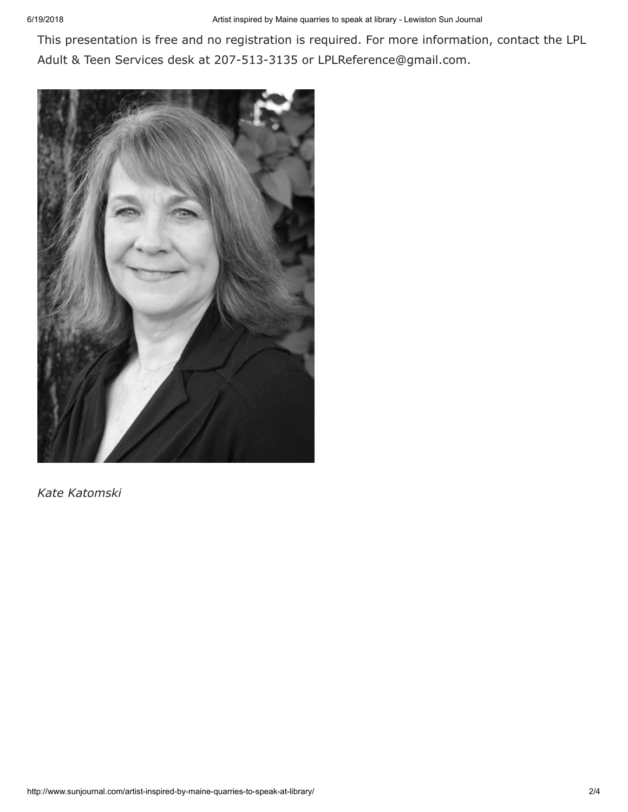This presentation is free and no registration is required. For more information, contact the LPL Adult & Teen Services desk at 207-513-3135 or LPLReference@gmail.com.



*Kate Katomski*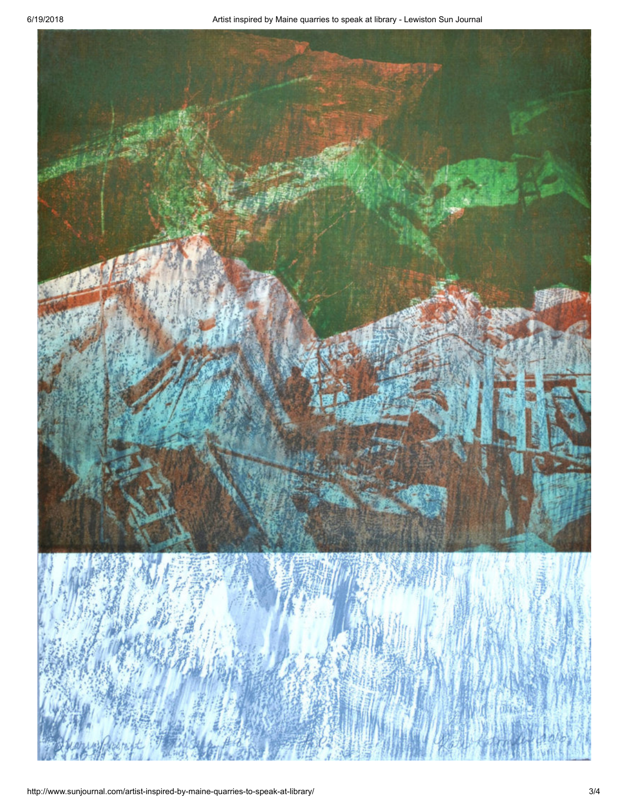